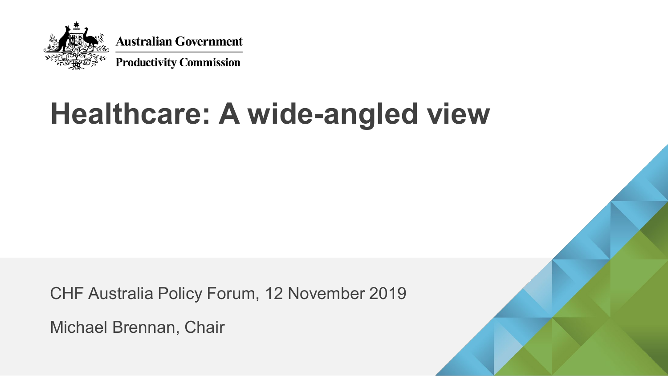

# **Healthcare: A wide-angled view**

CHF Australia Policy Forum, 12 November 2019

Michael Brennan, Chair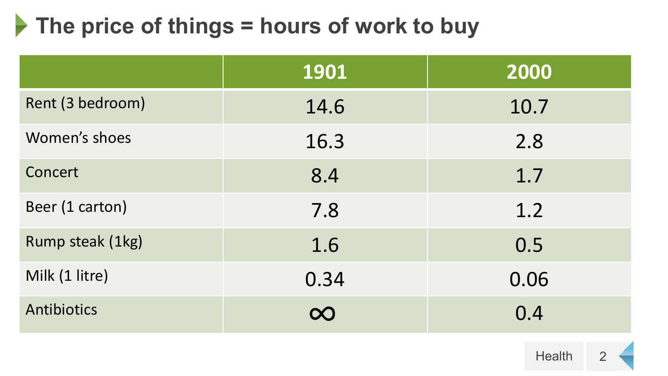### **▶ The price of things = hours of work to buy**

|                  | 1901     | 2000 |
|------------------|----------|------|
| Rent (3 bedroom) | 14.6     | 10.7 |
| Women's shoes    | 16.3     | 2.8  |
| Concert          | 8.4      | 1.7  |
| Beer (1 carton)  | 7.8      | 1.2  |
| Rump steak (1kg) | 1.6      | 0.5  |
| Milk (1 litre)   | 0.34     | 0.06 |
| Antibiotics      | $\infty$ | 0.4  |

2 **Health**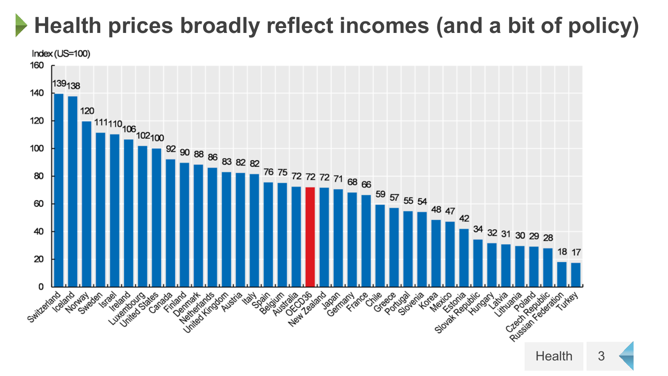# **Health prices broadly reflect incomes (and a bit of policy)**

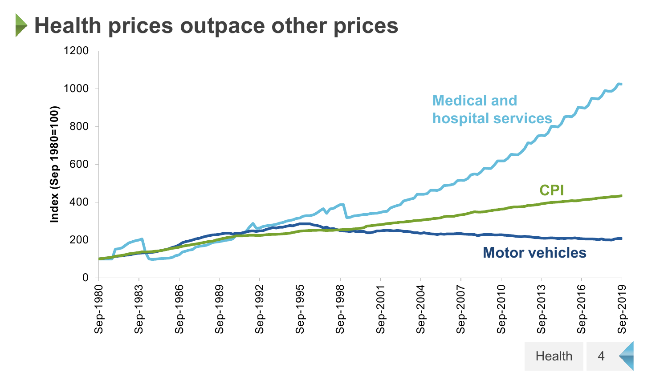### **Health prices outpace other prices**

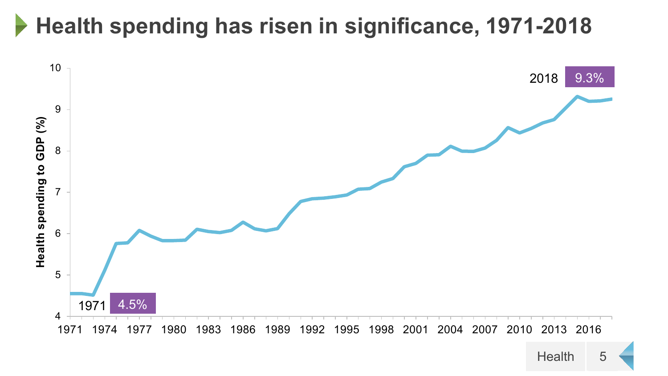#### **Health spending has risen in significance, 1971-2018**



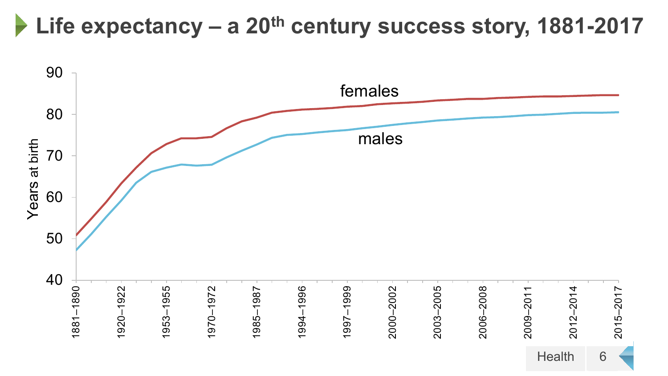### **Life expectancy – a 20th century success story, 1881-2017**

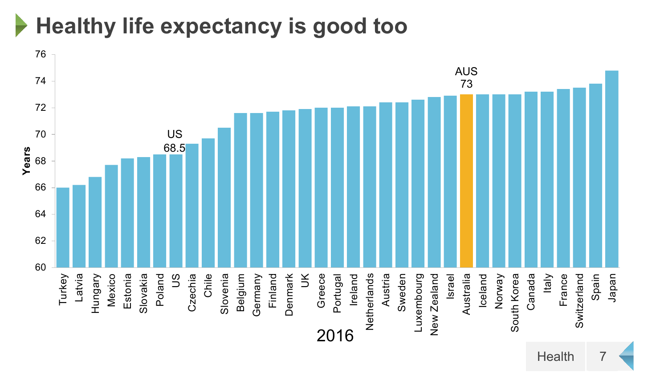**Healthy life expectancy is good too**

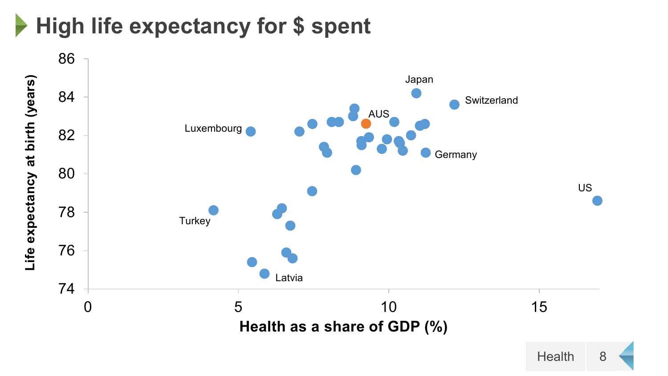# **High life expectancy for \$ spent**

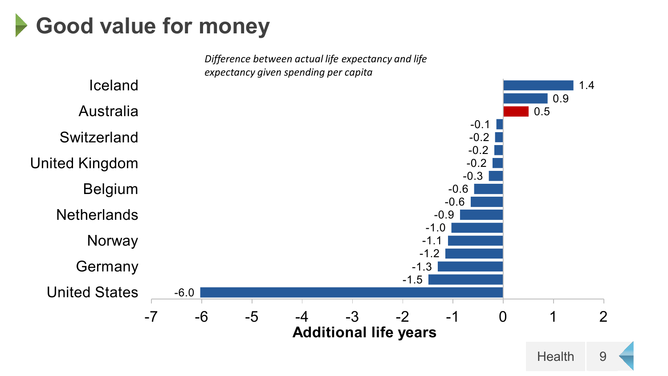### **Good value for money**

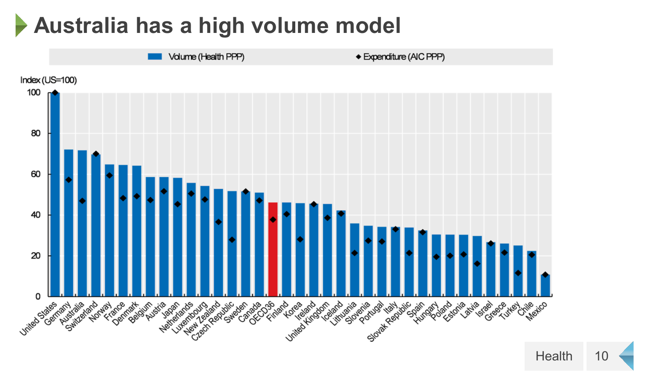#### **Australia has a high volume model**  $\blacktriangleright$



Health 10